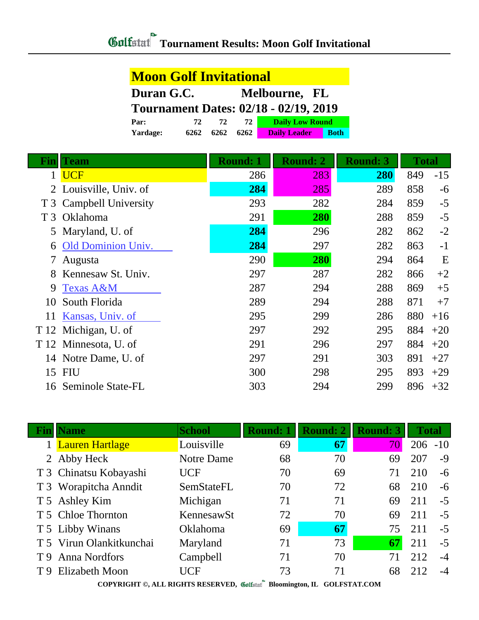## **Moon Golf Invitational**

| Duran G.C.                                   |      |      |      | Melbourne, FL          |             |  |  |
|----------------------------------------------|------|------|------|------------------------|-------------|--|--|
| <b>Tournament Dates: 02/18 - 02/19, 2019</b> |      |      |      |                        |             |  |  |
| Par:                                         | 72.  | 72   | 72   | <b>Daily Low Round</b> |             |  |  |
| Yardage:                                     | 6262 | 6262 | 6262 | <b>Daily Leader</b>    | <b>Both</b> |  |  |

| Fin            | Team                      | <b>Round: 1</b> | <b>Round: 2</b> | <b>Round: 3</b> | <b>Total</b> |       |
|----------------|---------------------------|-----------------|-----------------|-----------------|--------------|-------|
|                | <b>UCF</b>                | 286             | 283             | <b>280</b>      | 849          | $-15$ |
| 2              | Louisville, Univ. of      | 284             | 285             | 289             | 858          | $-6$  |
|                | T 3 Campbell University   | 293             | 282             | 284             | 859          | $-5$  |
| T <sub>3</sub> | Oklahoma                  | 291             | 280             | 288             | 859          | $-5$  |
| 5              | Maryland, U. of           | 284             | 296             | 282             | 862          | $-2$  |
| 6              | <b>Old Dominion Univ.</b> | 284             | 297             | 282             | 863          | $-1$  |
|                | Augusta                   | 290             | 280             | 294             | 864          | E     |
| 8              | Kennesaw St. Univ.        | 297             | 287             | 282             | 866          | $+2$  |
| 9              | <b>Texas A&amp;M</b>      | 287             | 294             | 288             | 869          | $+5$  |
| 10             | South Florida             | 289             | 294             | 288             | 871          | $+7$  |
| 11             | Kansas, Univ. of          | 295             | 299             | 286             | 880          | $+16$ |
| T 12           | Michigan, U. of           | 297             | 292             | 295             | 884          | $+20$ |
|                | T 12 Minnesota, U. of     | 291             | 296             | 297             | 884          | $+20$ |
|                | 14 Notre Dame, U. of      | 297             | 291             | 303             | 891          | $+27$ |
| 15             | FIU                       | 300             | 298             | 295             | 893          | $+29$ |
|                | 16 Seminole State-FL      | 303             | 294             | 299             | 896          | $+32$ |

|     | <b>Name</b>              | <b>School</b> | <b>Round: 1</b> | Round: 2 | <b>Round: 3</b> | <b>Total</b> |       |  |
|-----|--------------------------|---------------|-----------------|----------|-----------------|--------------|-------|--|
|     | 1 Lauren Hartlage        | Louisville    | 69              | 67       | 70              | 206          | $-10$ |  |
|     | 2 Abby Heck              | Notre Dame    | 68              | 70       | 69              | 207          | $-9$  |  |
|     | T 3 Chinatsu Kobayashi   | <b>UCF</b>    | 70              | 69       | 71              | 210          | $-6$  |  |
|     | T 3 Worapitcha Anndit    | SemStateFL    | 70              | 72       | 68              | 210          | $-6$  |  |
|     | T 5 Ashley Kim           | Michigan      | 71              | 71       | 69              | 211          | $-5$  |  |
|     | T 5 Chloe Thornton       | KennesawSt    | 72              | 70       | 69              | 211          | $-5$  |  |
|     | T 5 Libby Winans         | Oklahoma      | 69              | 67       | 75              | 211          | $-5$  |  |
|     | T 5 Virun Olankitkunchai | Maryland      | 71              | 73       | 67              | 211          | $-5$  |  |
| T 9 | <b>Anna Nordfors</b>     | Campbell      | 71              | 70       |                 | 212          | $-4$  |  |
|     | T 9 Elizabeth Moon       | UCF           | 73              | 71       | 68              | 212          | $-4$  |  |
|     |                          |               |                 |          |                 |              |       |  |

**COPYRIGHT ©, ALL RIGHTS RESERVED, Bloomington, IL GOLFSTAT.COM**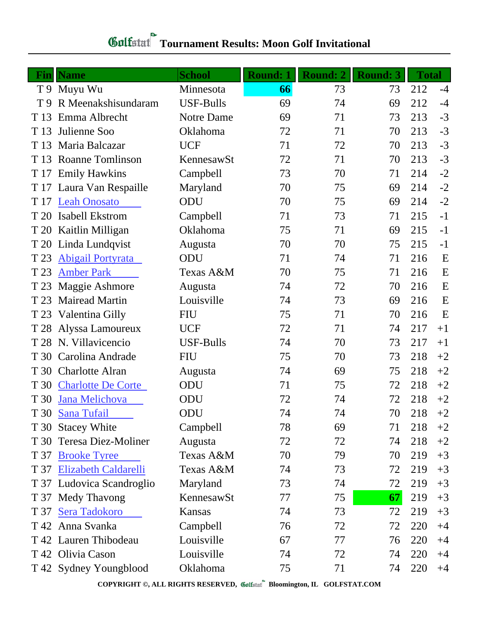## **Gulfatat** Tournament Results: Moon Golf Invitational

|                | <b>Fin</b> Name           | <b>School</b>    | <b>Round: 1</b> | <b>Round: 2</b> | <b>Round: 3</b> | <b>Total</b> |      |
|----------------|---------------------------|------------------|-----------------|-----------------|-----------------|--------------|------|
|                | T 9 Muyu Wu               | Minnesota        | 66              | 73              | 73              | 212          | $-4$ |
| T <sub>9</sub> | R Meenakshisundaram       | <b>USF-Bulls</b> | 69              | 74              | 69              | 212          | $-4$ |
| T 13           | Emma Albrecht             | Notre Dame       | 69              | 71              | 73              | 213          | $-3$ |
| T 13           | Julienne Soo              | Oklahoma         | 72              | 71              | 70              | 213          | $-3$ |
|                | T 13 Maria Balcazar       | <b>UCF</b>       | 71              | 72              | 70              | 213          | $-3$ |
| T 13           | <b>Roanne Tomlinson</b>   | KennesawSt       | 72              | 71              | 70              | 213          | $-3$ |
|                | T 17 Emily Hawkins        | Campbell         | 73              | 70              | 71              | 214          | $-2$ |
|                | T 17 Laura Van Respaille  | Maryland         | 70              | 75              | 69              | 214          | $-2$ |
|                | T 17 Leah Onosato         | ODU              | 70              | 75              | 69              | 214          | $-2$ |
| T 20           | Isabell Ekstrom           | Campbell         | 71              | 73              | 71              | 215          | $-1$ |
|                | T 20 Kaitlin Milligan     | Oklahoma         | 75              | 71              | 69              | 215          | $-1$ |
|                | T 20 Linda Lundqvist      | Augusta          | 70              | 70              | 75              | 215          | $-1$ |
| T 23           | <b>Abigail Portyrata</b>  | ODU              | 71              | 74              | 71              | 216          | E    |
| T 23           | <b>Amber Park</b>         | Texas A&M        | 70              | 75              | 71              | 216          | E    |
| T 23           | <b>Maggie Ashmore</b>     | Augusta          | 74              | 72              | 70              | 216          | E    |
| T 23           | <b>Mairead Martin</b>     | Louisville       | 74              | 73              | 69              | 216          | E    |
| T 23           | Valentina Gilly           | <b>FIU</b>       | 75              | 71              | 70              | 216          | E    |
|                | T 28 Alyssa Lamoureux     | <b>UCF</b>       | 72              | 71              | 74              | 217          | $+1$ |
|                | T 28 N. Villavicencio     | <b>USF-Bulls</b> | 74              | 70              | 73              | 217          | $+1$ |
| T 30           | Carolina Andrade          | <b>FIU</b>       | 75              | 70              | 73              | 218          | $+2$ |
|                | T 30 Charlotte Alran      | Augusta          | 74              | 69              | 75              | 218          | $+2$ |
| T 30           | <b>Charlotte De Corte</b> | ODU              | 71              | 75              | 72              | 218          | $+2$ |
|                | T 30 Jana Melichova       | ODU              | 72              | 74              | 72              | 218          | $+2$ |
|                | T 30 Sana Tufail          | ODU              | 74              | 74              | 70              | 218          | $+2$ |
| T 30           | <b>Stacey White</b>       | Campbell         | 78              | 69              | 71              | 218          | $+2$ |
|                | T 30 Teresa Diez-Moliner  | Augusta          | 72              | 72              | 74              | 218          | $+2$ |
| T 37           | <b>Brooke Tyree</b>       | Texas A&M        | 70              | 79              | 70              | 219          | $+3$ |
|                | T 37 Elizabeth Caldarelli | Texas A&M        | 74              | 73              | 72              | 219          | $+3$ |
|                | T 37 Ludovica Scandroglio | Maryland         | 73              | 74              | 72              | 219          | $+3$ |
|                | T 37 Medy Thavong         | KennesawSt       | 77              | 75              | 67              | 219          | $+3$ |
| T 37           | Sera Tadokoro             | Kansas           | 74              | 73              | 72              | 219          | $+3$ |
|                | T 42 Anna Svanka          | Campbell         | 76              | 72              | 72              | 220          | $+4$ |
|                | T 42 Lauren Thibodeau     | Louisville       | 67              | 77              | 76              | 220          | $+4$ |
|                | T 42 Olivia Cason         | Louisville       | 74              | 72              | 74              | 220          | $+4$ |
|                | T 42 Sydney Youngblood    | Oklahoma         | 75              | 71              | 74              | 220          | $+4$ |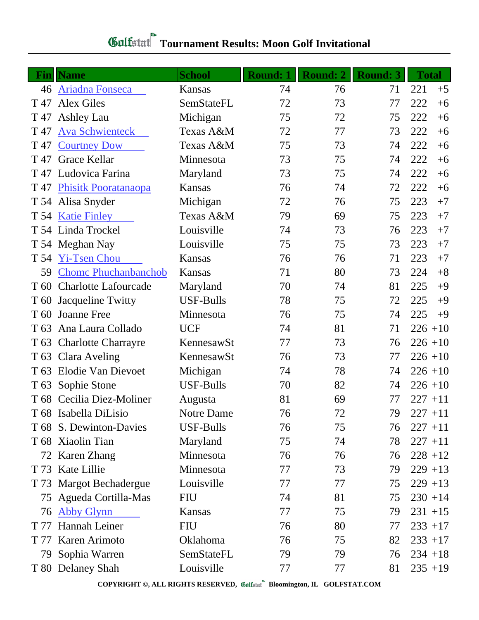## **Gulfatat** Tournament Results: Moon Golf Invitational

| Fin             | Name                        | <b>School</b>     | <b>Round: 1</b> | <b>Round: 2</b> | <b>Round: 3</b> | <b>Total</b> |
|-----------------|-----------------------------|-------------------|-----------------|-----------------|-----------------|--------------|
|                 | 46 Ariadna Fonseca          | Kansas            | 74              | 76              | 71              | 221<br>$+5$  |
| T 47            | <b>Alex Giles</b>           | SemStateFL        | 72              | 73              | 77              | 222<br>$+6$  |
|                 | T 47 Ashley Lau             | Michigan          | 75              | 72              | 75              | 222<br>$+6$  |
| T 47            | <b>Ava Schwienteck</b>      | Texas A&M         | 72              | 77              | 73              | 222<br>$+6$  |
| T 47            | <b>Courtney Dow</b>         | Texas A&M         | 75              | 73              | 74              | 222<br>$+6$  |
| T 47            | Grace Kellar                | Minnesota         | 73              | 75              | 74              | 222<br>$+6$  |
|                 | T 47 Ludovica Farina        | Maryland          | 73              | 75              | 74              | 222<br>$+6$  |
| T 47            | <b>Phisitk Pooratanaopa</b> | Kansas            | 76              | 74              | 72              | 222<br>$+6$  |
|                 | T 54 Alisa Snyder           | Michigan          | 72              | 76              | 75              | 223<br>$+7$  |
|                 | T 54 Katie Finley           | Texas A&M         | 79              | 69              | 75              | 223<br>$+7$  |
|                 | T 54 Linda Trockel          | Louisville        | 74              | 73              | 76              | 223<br>$+7$  |
|                 | T 54 Meghan Nay             | Louisville        | 75              | 75              | 73              | 223<br>$+7$  |
|                 | T 54 Yi-Tsen Chou           | Kansas            | 76              | 76              | 71              | 223<br>$+7$  |
| 59              | <b>Chome Phuchanbanchob</b> | Kansas            | 71              | 80              | 73              | 224<br>$+8$  |
|                 | T 60 Charlotte Lafourcade   | Maryland          | 70              | 74              | 81              | 225<br>$+9$  |
| T 60            | <b>Jacqueline Twitty</b>    | <b>USF-Bulls</b>  | 78              | 75              | 72              | 225<br>$+9$  |
| T 60            | <b>Joanne Free</b>          | Minnesota         | 76              | 75              | 74              | 225<br>$+9$  |
| T 63            | Ana Laura Collado           | <b>UCF</b>        | 74              | 81              | 71              | $226 + 10$   |
|                 | T 63 Charlotte Charrayre    | KennesawSt        | 77              | 73              | 76              | $226 + 10$   |
|                 | T 63 Clara Aveling          | KennesawSt        | 76              | 73              | 77              | $226 + 10$   |
| T 63            | <b>Elodie Van Dievoet</b>   | Michigan          | 74              | 78              | 74              | $226 + 10$   |
| T <sub>63</sub> | Sophie Stone                | <b>USF-Bulls</b>  | 70              | 82              | 74              | $226 + 10$   |
|                 | T 68 Cecilia Diez-Moliner   | Augusta           | 81              | 69              | 77              | $227 + 11$   |
|                 | T 68 Isabella DiLisio       | <b>Notre Dame</b> | 76              | 72              | 79              | $227 + 11$   |
|                 | T 68 S. Dewinton-Davies     | <b>USF-Bulls</b>  | 76              | 75              | 76              | $227 + 11$   |
|                 | T 68 Xiaolin Tian           | Maryland          | 75              | 74              | 78              | $227 + 11$   |
|                 | 72 Karen Zhang              | Minnesota         | 76              | 76              | 76              | $228 + 12$   |
|                 | T 73 Kate Lillie            | Minnesota         | 77              | 73              | 79              | $229 + 13$   |
|                 | T 73 Margot Bechadergue     | Louisville        | 77              | 77              | 75              | $229 + 13$   |
|                 | 75 Agueda Cortilla-Mas      | FIU               | 74              | 81              | 75              | $230 + 14$   |
| 76              | <b>Abby Glynn</b>           | Kansas            | 77              | 75              | 79              | $231 + 15$   |
| T 77            | Hannah Leiner               | FIU               | 76              | 80              | 77              | $233 + 17$   |
| T 77            | Karen Arimoto               | Oklahoma          | 76              | 75              | 82              | $233 + 17$   |
| 79              | Sophia Warren               | SemStateFL        | 79              | 79              | 76              | $234 + 18$   |
|                 | T 80 Delaney Shah           | Louisville        | 77              | 77              | 81              | $235 + 19$   |